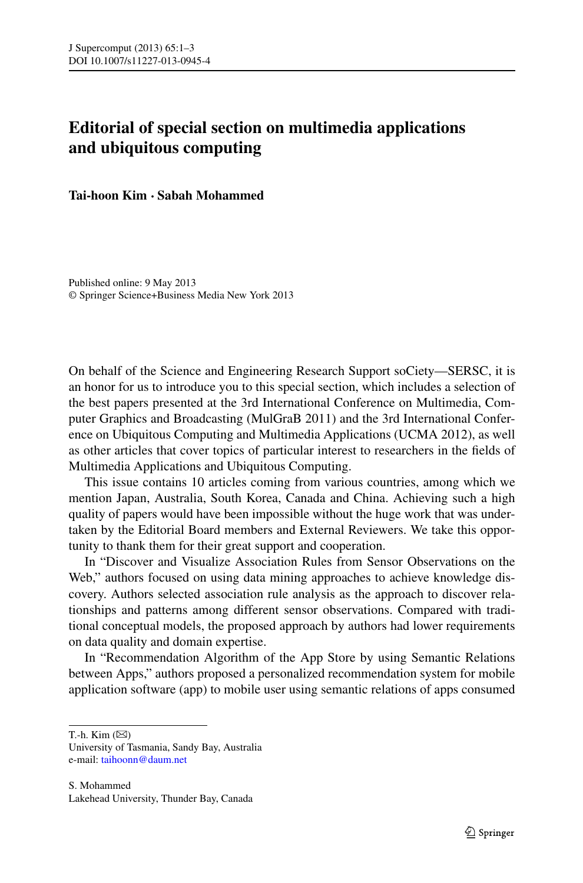## **Editorial of special section on multimedia applications and ubiquitous computing**

**Tai-hoon Kim · Sabah Mohammed**

Published online: 9 May 2013 © Springer Science+Business Media New York 2013

On behalf of the Science and Engineering Research Support soCiety—SERSC, it is an honor for us to introduce you to this special section, which includes a selection of the best papers presented at the 3rd International Conference on Multimedia, Computer Graphics and Broadcasting (MulGraB 2011) and the 3rd International Conference on Ubiquitous Computing and Multimedia Applications (UCMA 2012), as well as other articles that cover topics of particular interest to researchers in the fields of Multimedia Applications and Ubiquitous Computing.

This issue contains 10 articles coming from various countries, among which we mention Japan, Australia, South Korea, Canada and China. Achieving such a high quality of papers would have been impossible without the huge work that was undertaken by the Editorial Board members and External Reviewers. We take this opportunity to thank them for their great support and cooperation.

In "Discover and Visualize Association Rules from Sensor Observations on the Web," authors focused on using data mining approaches to achieve knowledge discovery. Authors selected association rule analysis as the approach to discover relationships and patterns among different sensor observations. Compared with traditional conceptual models, the proposed approach by authors had lower requirements on data quality and domain expertise.

In "Recommendation Algorithm of the App Store by using Semantic Relations between Apps," authors proposed a personalized recommendation system for mobile application software (app) to mobile user using semantic relations of apps consumed

T.-h. Kim  $(\boxtimes)$ 

University of Tasmania, Sandy Bay, Australia e-mail: [taihoonn@daum.net](mailto:taihoonn@daum.net)

S. Mohammed Lakehead University, Thunder Bay, Canada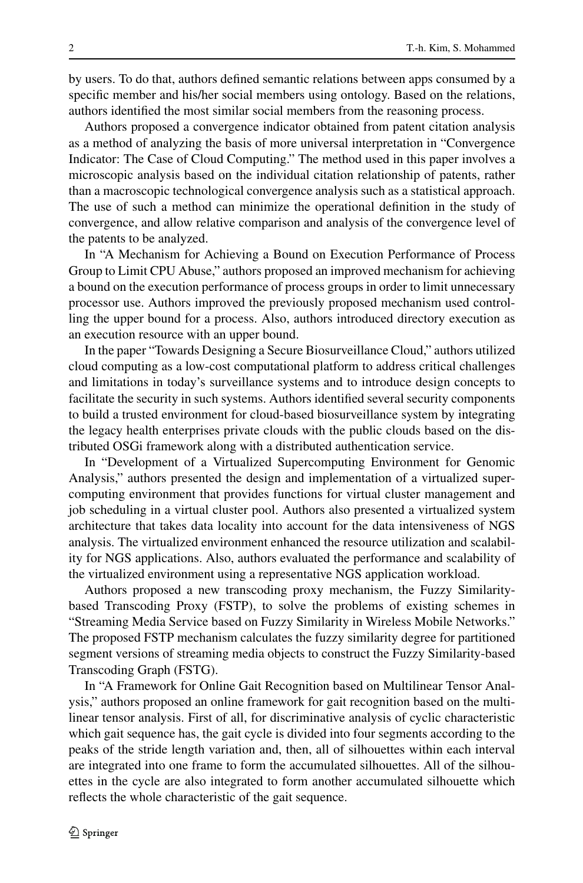by users. To do that, authors defined semantic relations between apps consumed by a specific member and his/her social members using ontology. Based on the relations, authors identified the most similar social members from the reasoning process.

Authors proposed a convergence indicator obtained from patent citation analysis as a method of analyzing the basis of more universal interpretation in "Convergence Indicator: The Case of Cloud Computing." The method used in this paper involves a microscopic analysis based on the individual citation relationship of patents, rather than a macroscopic technological convergence analysis such as a statistical approach. The use of such a method can minimize the operational definition in the study of convergence, and allow relative comparison and analysis of the convergence level of the patents to be analyzed.

In "A Mechanism for Achieving a Bound on Execution Performance of Process Group to Limit CPU Abuse," authors proposed an improved mechanism for achieving a bound on the execution performance of process groups in order to limit unnecessary processor use. Authors improved the previously proposed mechanism used controlling the upper bound for a process. Also, authors introduced directory execution as an execution resource with an upper bound.

In the paper "Towards Designing a Secure Biosurveillance Cloud," authors utilized cloud computing as a low-cost computational platform to address critical challenges and limitations in today's surveillance systems and to introduce design concepts to facilitate the security in such systems. Authors identified several security components to build a trusted environment for cloud-based biosurveillance system by integrating the legacy health enterprises private clouds with the public clouds based on the distributed OSGi framework along with a distributed authentication service.

In "Development of a Virtualized Supercomputing Environment for Genomic Analysis," authors presented the design and implementation of a virtualized supercomputing environment that provides functions for virtual cluster management and job scheduling in a virtual cluster pool. Authors also presented a virtualized system architecture that takes data locality into account for the data intensiveness of NGS analysis. The virtualized environment enhanced the resource utilization and scalability for NGS applications. Also, authors evaluated the performance and scalability of the virtualized environment using a representative NGS application workload.

Authors proposed a new transcoding proxy mechanism, the Fuzzy Similaritybased Transcoding Proxy (FSTP), to solve the problems of existing schemes in "Streaming Media Service based on Fuzzy Similarity in Wireless Mobile Networks." The proposed FSTP mechanism calculates the fuzzy similarity degree for partitioned segment versions of streaming media objects to construct the Fuzzy Similarity-based Transcoding Graph (FSTG).

In "A Framework for Online Gait Recognition based on Multilinear Tensor Analysis," authors proposed an online framework for gait recognition based on the multilinear tensor analysis. First of all, for discriminative analysis of cyclic characteristic which gait sequence has, the gait cycle is divided into four segments according to the peaks of the stride length variation and, then, all of silhouettes within each interval are integrated into one frame to form the accumulated silhouettes. All of the silhouettes in the cycle are also integrated to form another accumulated silhouette which reflects the whole characteristic of the gait sequence.